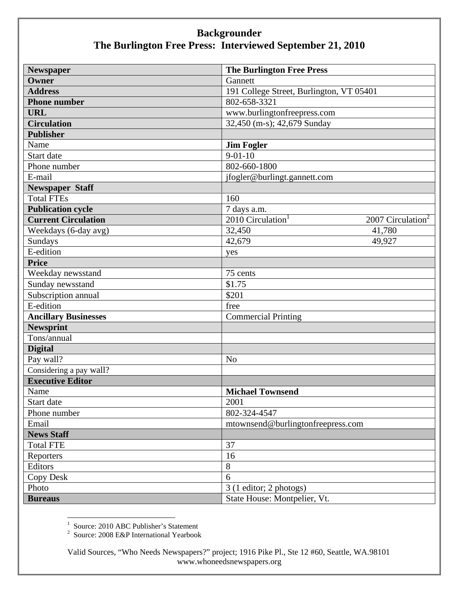## **Backgrounder The Burlington Free Press: Interviewed September 21, 2010**

| <b>Newspaper</b>            | <b>The Burlington Free Press</b>                               |
|-----------------------------|----------------------------------------------------------------|
| Owner                       | Gannett                                                        |
| <b>Address</b>              | 191 College Street, Burlington, VT 05401                       |
| <b>Phone number</b>         | 802-658-3321                                                   |
| <b>URL</b>                  | www.burlingtonfreepress.com                                    |
| <b>Circulation</b>          | 32,450 (m-s); 42,679 Sunday                                    |
| <b>Publisher</b>            |                                                                |
| Name                        | <b>Jim Fogler</b>                                              |
| Start date                  | $9 - 01 - 10$                                                  |
| Phone number                | 802-660-1800                                                   |
| E-mail                      | jfogler@burlingt.gannett.com                                   |
| <b>Newspaper Staff</b>      |                                                                |
| <b>Total FTEs</b>           | 160                                                            |
| <b>Publication cycle</b>    | 7 days a.m.                                                    |
| <b>Current Circulation</b>  | 2010 Circulation <sup>1</sup><br>2007 Circulation <sup>2</sup> |
| Weekdays (6-day avg)        | 32,450<br>41,780                                               |
| Sundays                     | 42,679<br>49,927                                               |
| E-edition                   | yes                                                            |
| <b>Price</b>                |                                                                |
| Weekday newsstand           | 75 cents                                                       |
| Sunday newsstand            | \$1.75                                                         |
| Subscription annual         | \$201                                                          |
| E-edition                   | free                                                           |
| <b>Ancillary Businesses</b> | <b>Commercial Printing</b>                                     |
| <b>Newsprint</b>            |                                                                |
| Tons/annual                 |                                                                |
| <b>Digital</b>              |                                                                |
| Pay wall?                   | N <sub>o</sub>                                                 |
| Considering a pay wall?     |                                                                |
| <b>Executive Editor</b>     |                                                                |
| Name                        | <b>Michael Townsend</b>                                        |
| Start date                  | 2001                                                           |
| Phone number                | 802-324-4547                                                   |
| Email                       | mtownsend@burlingtonfreepress.com                              |
| <b>News Staff</b>           |                                                                |
| <b>Total FTE</b>            | 37                                                             |
| Reporters                   | 16                                                             |
| Editors                     | 8                                                              |
| <b>Copy Desk</b>            | 6                                                              |
| Photo                       | 3 (1 editor; 2 photogs)                                        |
| <b>Bureaus</b>              | State House: Montpelier, Vt.                                   |

<sup>1</sup> Source: 2010 ABC Publisher's Statement<br><sup>2</sup> Source: 2008 E&P International Yearbook

Valid Sources, "Who Needs Newspapers?" project; 1916 Pike Pl., Ste 12 #60, Seattle, WA.98101 www.whoneedsnewspapers.org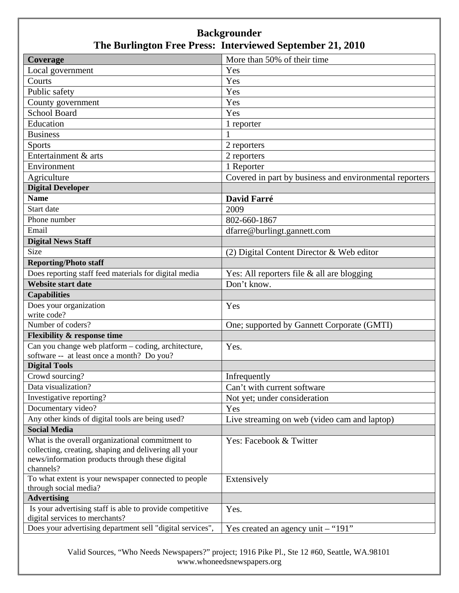## **Backgrounder The Burlington Free Press: Interviewed September 21, 2010**

| Coverage                                                  | More than 50% of their time                             |
|-----------------------------------------------------------|---------------------------------------------------------|
| Local government                                          | Yes                                                     |
| Courts                                                    | Yes                                                     |
| Public safety                                             | Yes                                                     |
| County government                                         | Yes                                                     |
| <b>School Board</b>                                       | Yes                                                     |
| Education                                                 | 1 reporter                                              |
| <b>Business</b>                                           | 1                                                       |
| <b>Sports</b>                                             | 2 reporters                                             |
| Entertainment & arts                                      | 2 reporters                                             |
| Environment                                               | 1 Reporter                                              |
| Agriculture                                               | Covered in part by business and environmental reporters |
| <b>Digital Developer</b>                                  |                                                         |
| <b>Name</b>                                               | David Farré                                             |
| Start date                                                | 2009                                                    |
| Phone number                                              | 802-660-1867                                            |
| Email                                                     | dfarre@burlingt.gannett.com                             |
| <b>Digital News Staff</b>                                 |                                                         |
| Size                                                      | (2) Digital Content Director & Web editor               |
| <b>Reporting/Photo staff</b>                              |                                                         |
| Does reporting staff feed materials for digital media     | Yes: All reporters file & all are blogging              |
| <b>Website start date</b>                                 | Don't know.                                             |
| <b>Capabilities</b>                                       |                                                         |
| Does your organization                                    | Yes                                                     |
| write code?                                               |                                                         |
| Number of coders?                                         | One; supported by Gannett Corporate (GMTI)              |
| <b>Flexibility &amp; response time</b>                    |                                                         |
| Can you change web platform – coding, architecture,       | Yes.                                                    |
| software -- at least once a month? Do you?                |                                                         |
| <b>Digital Tools</b>                                      |                                                         |
| Crowd sourcing?                                           | Infrequently                                            |
| Data visualization?                                       | Can't with current software                             |
| Investigative reporting?                                  | Not yet; under consideration                            |
| Documentary video?                                        | Yes                                                     |
| Any other kinds of digital tools are being used?          | Live streaming on web (video cam and laptop)            |
| <b>Social Media</b>                                       |                                                         |
| What is the overall organizational commitment to          | Yes: Facebook & Twitter                                 |
| collecting, creating, shaping and delivering all your     |                                                         |
| news/information products through these digital           |                                                         |
| channels?                                                 |                                                         |
| To what extent is your newspaper connected to people      | Extensively                                             |
| through social media?<br><b>Advertising</b>               |                                                         |
| Is your advertising staff is able to provide competitive  | Yes.                                                    |
| digital services to merchants?                            |                                                         |
| Does your advertising department sell "digital services", | Yes created an agency unit $-$ "191"                    |

Valid Sources, "Who Needs Newspapers?" project; 1916 Pike Pl., Ste 12 #60, Seattle, WA.98101 www.whoneedsnewspapers.org